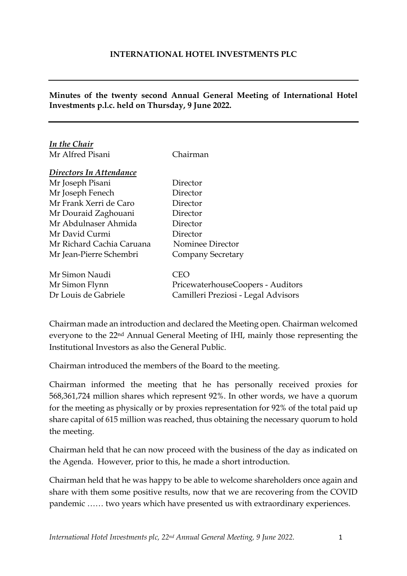#### **INTERNATIONAL HOTEL INVESTMENTS PLC**

**Minutes of the twenty second Annual General Meeting of International Hotel Investments p.l.c. held on Thursday, 9 June 2022.**

| In the Chair              |                                     |
|---------------------------|-------------------------------------|
| Mr Alfred Pisani          | Chairman                            |
|                           |                                     |
| Directors In Attendance   |                                     |
| Mr Joseph Pisani          | Director                            |
| Mr Joseph Fenech          | Director                            |
| Mr Frank Xerri de Caro    | Director                            |
| Mr Douraid Zaghouani      | Director                            |
| Mr Abdulnaser Ahmida      | Director                            |
| Mr David Curmi            | Director                            |
| Mr Richard Cachia Caruana | Nominee Director                    |
| Mr Jean-Pierre Schembri   | <b>Company Secretary</b>            |
| Mr Simon Naudi            | CEO                                 |
| Mr Simon Flynn            | PricewaterhouseCoopers - Auditors   |
| Dr Louis de Gabriele      | Camilleri Preziosi - Legal Advisors |
|                           |                                     |

Chairman made an introduction and declared the Meeting open. Chairman welcomed everyone to the 22nd Annual General Meeting of IHI, mainly those representing the Institutional Investors as also the General Public.

Chairman introduced the members of the Board to the meeting.

Chairman informed the meeting that he has personally received proxies for 568,361,724 million shares which represent 92%. In other words, we have a quorum for the meeting as physically or by proxies representation for 92% of the total paid up share capital of 615 million was reached, thus obtaining the necessary quorum to hold the meeting.

Chairman held that he can now proceed with the business of the day as indicated on the Agenda. However, prior to this, he made a short introduction.

Chairman held that he was happy to be able to welcome shareholders once again and share with them some positive results, now that we are recovering from the COVID pandemic …… two years which have presented us with extraordinary experiences.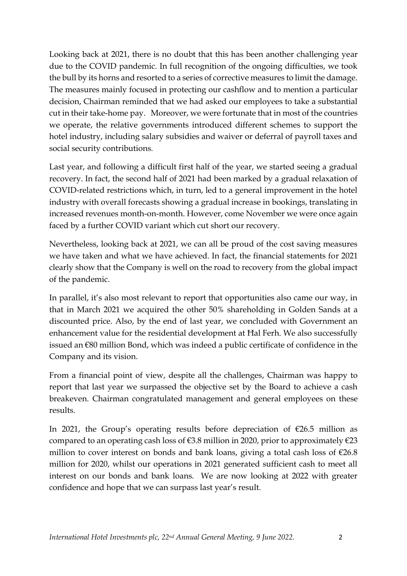Looking back at 2021, there is no doubt that this has been another challenging year due to the COVID pandemic. In full recognition of the ongoing difficulties, we took the bull by its horns and resorted to a series of corrective measures to limit the damage. The measures mainly focused in protecting our cashflow and to mention a particular decision, Chairman reminded that we had asked our employees to take a substantial cut in their take-home pay. Moreover, we were fortunate that in most of the countries we operate, the relative governments introduced different schemes to support the hotel industry, including salary subsidies and waiver or deferral of payroll taxes and social security contributions.

Last year, and following a difficult first half of the year, we started seeing a gradual recovery. In fact, the second half of 2021 had been marked by a gradual relaxation of COVID-related restrictions which, in turn, led to a general improvement in the hotel industry with overall forecasts showing a gradual increase in bookings, translating in increased revenues month-on-month. However, come November we were once again faced by a further COVID variant which cut short our recovery.

Nevertheless, looking back at 2021, we can all be proud of the cost saving measures we have taken and what we have achieved. In fact, the financial statements for 2021 clearly show that the Company is well on the road to recovery from the global impact of the pandemic.

In parallel, it's also most relevant to report that opportunities also came our way, in that in March 2021 we acquired the other 50% shareholding in Golden Sands at a discounted price. Also, by the end of last year, we concluded with Government an enhancement value for the residential development at Ħal Ferh. We also successfully issued an €80 million Bond, which was indeed a public certificate of confidence in the Company and its vision.

From a financial point of view, despite all the challenges, Chairman was happy to report that last year we surpassed the objective set by the Board to achieve a cash breakeven. Chairman congratulated management and general employees on these results.

In 2021, the Group's operating results before depreciation of  $\epsilon$ 26.5 million as compared to an operating cash loss of  $\epsilon$ 3.8 million in 2020, prior to approximately  $\epsilon$ 23 million to cover interest on bonds and bank loans, giving a total cash loss of  $\epsilon$ 26.8 million for 2020, whilst our operations in 2021 generated sufficient cash to meet all interest on our bonds and bank loans. We are now looking at 2022 with greater confidence and hope that we can surpass last year's result.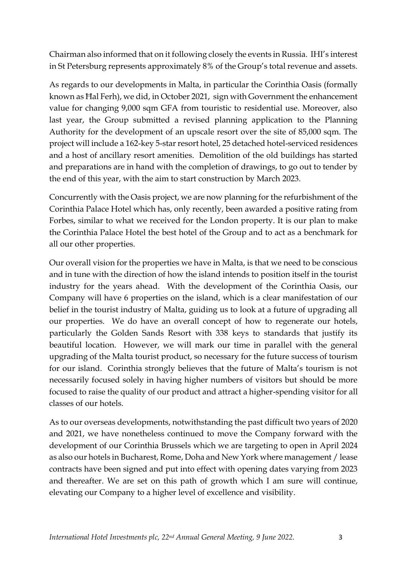Chairman also informed that on it following closely the events in Russia. IHI's interest in St Petersburg represents approximately 8% of the Group's total revenue and assets.

As regards to our developments in Malta, in particular the Corinthia Oasis (formally known as Ħal Ferh), we did, in October 2021, sign with Government the enhancement value for changing 9,000 sqm GFA from touristic to residential use. Moreover, also last year, the Group submitted a revised planning application to the Planning Authority for the development of an upscale resort over the site of 85,000 sqm. The project will include a 162-key 5-star resort hotel, 25 detached hotel-serviced residences and a host of ancillary resort amenities. Demolition of the old buildings has started and preparations are in hand with the completion of drawings, to go out to tender by the end of this year, with the aim to start construction by March 2023.

Concurrently with the Oasis project, we are now planning for the refurbishment of the Corinthia Palace Hotel which has, only recently, been awarded a positive rating from Forbes, similar to what we received for the London property. It is our plan to make the Corinthia Palace Hotel the best hotel of the Group and to act as a benchmark for all our other properties.

Our overall vision for the properties we have in Malta, is that we need to be conscious and in tune with the direction of how the island intends to position itself in the tourist industry for the years ahead. With the development of the Corinthia Oasis, our Company will have 6 properties on the island, which is a clear manifestation of our belief in the tourist industry of Malta, guiding us to look at a future of upgrading all our properties. We do have an overall concept of how to regenerate our hotels, particularly the Golden Sands Resort with 338 keys to standards that justify its beautiful location. However, we will mark our time in parallel with the general upgrading of the Malta tourist product, so necessary for the future success of tourism for our island. Corinthia strongly believes that the future of Malta's tourism is not necessarily focused solely in having higher numbers of visitors but should be more focused to raise the quality of our product and attract a higher-spending visitor for all classes of our hotels.

As to our overseas developments, notwithstanding the past difficult two years of 2020 and 2021, we have nonetheless continued to move the Company forward with the development of our Corinthia Brussels which we are targeting to open in April 2024 as also our hotels in Bucharest, Rome, Doha and New York where management / lease contracts have been signed and put into effect with opening dates varying from 2023 and thereafter. We are set on this path of growth which I am sure will continue, elevating our Company to a higher level of excellence and visibility.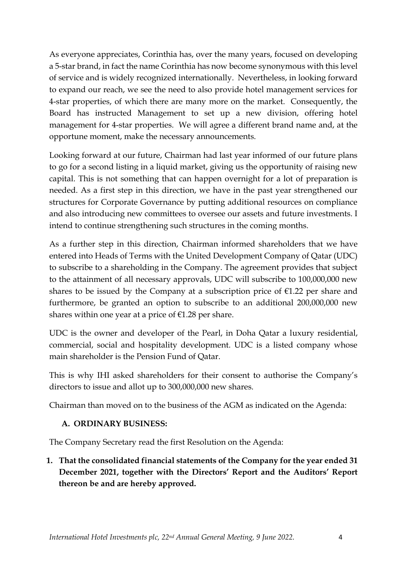As everyone appreciates, Corinthia has, over the many years, focused on developing a 5-star brand, in fact the name Corinthia has now become synonymous with this level of service and is widely recognized internationally. Nevertheless, in looking forward to expand our reach, we see the need to also provide hotel management services for 4-star properties, of which there are many more on the market. Consequently, the Board has instructed Management to set up a new division, offering hotel management for 4-star properties. We will agree a different brand name and, at the opportune moment, make the necessary announcements.

Looking forward at our future, Chairman had last year informed of our future plans to go for a second listing in a liquid market, giving us the opportunity of raising new capital. This is not something that can happen overnight for a lot of preparation is needed. As a first step in this direction, we have in the past year strengthened our structures for Corporate Governance by putting additional resources on compliance and also introducing new committees to oversee our assets and future investments. I intend to continue strengthening such structures in the coming months.

As a further step in this direction, Chairman informed shareholders that we have entered into Heads of Terms with the United Development Company of Qatar (UDC) to subscribe to a shareholding in the Company. The agreement provides that subject to the attainment of all necessary approvals, UDC will subscribe to 100,000,000 new shares to be issued by the Company at a subscription price of  $E1.22$  per share and furthermore, be granted an option to subscribe to an additional 200,000,000 new shares within one year at a price of  $E$ 1.28 per share.

UDC is the owner and developer of the Pearl, in Doha Qatar a luxury residential, commercial, social and hospitality development. UDC is a listed company whose main shareholder is the Pension Fund of Qatar.

This is why IHI asked shareholders for their consent to authorise the Company's directors to issue and allot up to 300,000,000 new shares.

Chairman than moved on to the business of the AGM as indicated on the Agenda:

#### **A. ORDINARY BUSINESS:**

The Company Secretary read the first Resolution on the Agenda:

**1. That the consolidated financial statements of the Company for the year ended 31 December 2021, together with the Directors' Report and the Auditors' Report thereon be and are hereby approved.**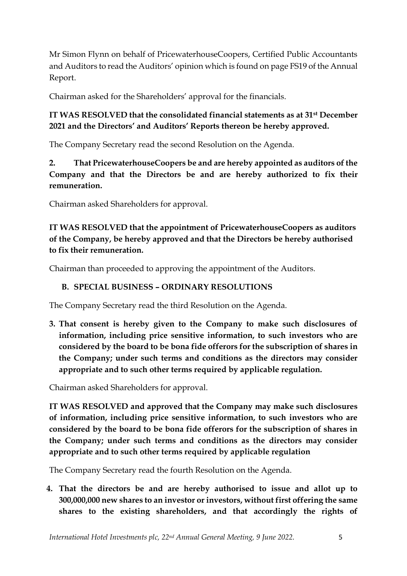Mr Simon Flynn on behalf of PricewaterhouseCoopers, Certified Public Accountants and Auditors to read the Auditors' opinion which is found on page FS19 of the Annual Report.

Chairman asked for the Shareholders' approval for the financials.

# **IT WAS RESOLVED that the consolidated financial statements as at 31st December 2021 and the Directors' and Auditors' Reports thereon be hereby approved.**

The Company Secretary read the second Resolution on the Agenda.

# **2. That PricewaterhouseCoopers be and are hereby appointed as auditors of the Company and that the Directors be and are hereby authorized to fix their remuneration.**

Chairman asked Shareholders for approval.

## **IT WAS RESOLVED that the appointment of PricewaterhouseCoopers as auditors of the Company, be hereby approved and that the Directors be hereby authorised to fix their remuneration.**

Chairman than proceeded to approving the appointment of the Auditors.

## **B. SPECIAL BUSINESS – ORDINARY RESOLUTIONS**

The Company Secretary read the third Resolution on the Agenda.

**3. That consent is hereby given to the Company to make such disclosures of information, including price sensitive information, to such investors who are considered by the board to be bona fide offerors for the subscription of shares in the Company; under such terms and conditions as the directors may consider appropriate and to such other terms required by applicable regulation.** 

Chairman asked Shareholders for approval.

**IT WAS RESOLVED and approved that the Company may make such disclosures of information, including price sensitive information, to such investors who are considered by the board to be bona fide offerors for the subscription of shares in the Company; under such terms and conditions as the directors may consider appropriate and to such other terms required by applicable regulation**

The Company Secretary read the fourth Resolution on the Agenda.

**4. That the directors be and are hereby authorised to issue and allot up to 300,000,000 new shares to an investor or investors, without first offering the same shares to the existing shareholders, and that accordingly the rights of**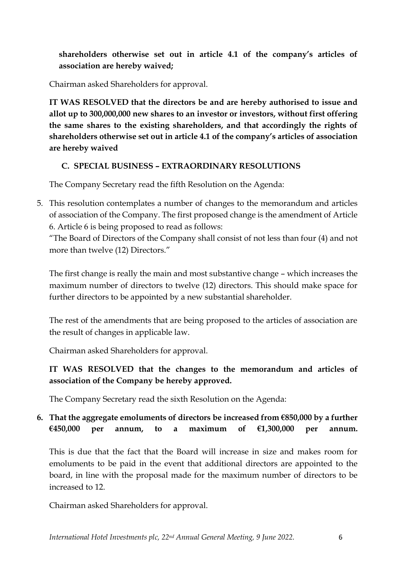**shareholders otherwise set out in article 4.1 of the company's articles of association are hereby waived;** 

Chairman asked Shareholders for approval.

**IT WAS RESOLVED that the directors be and are hereby authorised to issue and allot up to 300,000,000 new shares to an investor or investors, without first offering the same shares to the existing shareholders, and that accordingly the rights of shareholders otherwise set out in article 4.1 of the company's articles of association are hereby waived**

### **C. SPECIAL BUSINESS – EXTRAORDINARY RESOLUTIONS**

The Company Secretary read the fifth Resolution on the Agenda:

5. This resolution contemplates a number of changes to the memorandum and articles of association of the Company. The first proposed change is the amendment of Article 6. Article 6 is being proposed to read as follows:

"The Board of Directors of the Company shall consist of not less than four (4) and not more than twelve (12) Directors."

The first change is really the main and most substantive change – which increases the maximum number of directors to twelve (12) directors. This should make space for further directors to be appointed by a new substantial shareholder.

The rest of the amendments that are being proposed to the articles of association are the result of changes in applicable law.

Chairman asked Shareholders for approval.

### **IT WAS RESOLVED that the changes to the memorandum and articles of association of the Company be hereby approved.**

The Company Secretary read the sixth Resolution on the Agenda:

### **6. That the aggregate emoluments of directors be increased from €850,000 by a further €450,000 per annum, to a maximum of €1,300,000 per annum.**

This is due that the fact that the Board will increase in size and makes room for emoluments to be paid in the event that additional directors are appointed to the board, in line with the proposal made for the maximum number of directors to be increased to 12.

Chairman asked Shareholders for approval.